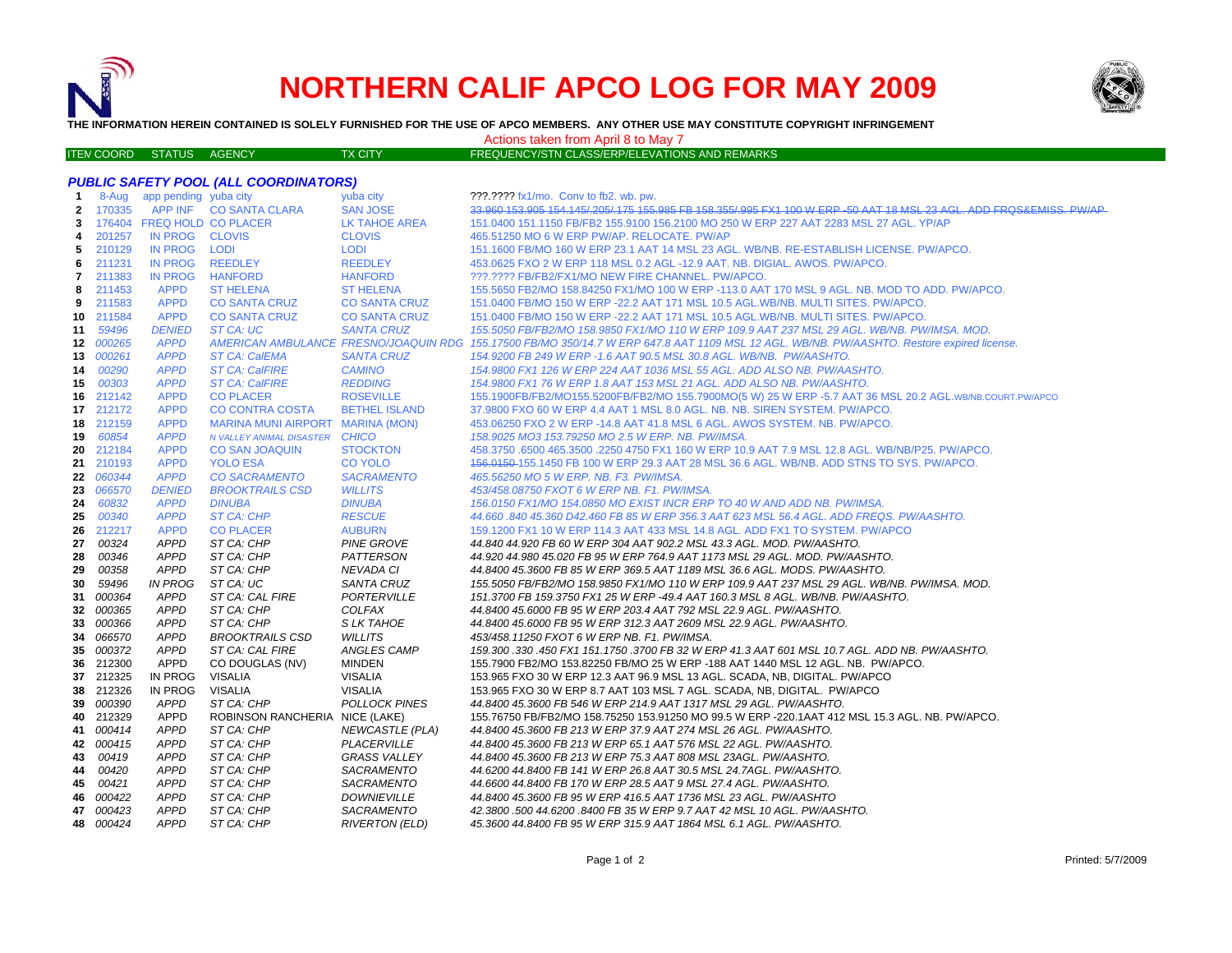

# **NORTHERN CALIF APCO LOG FOR MAY 2009**



**THE INFORMATION HEREIN CONTAINED IS SOLELY FURNISHED FOR THE USE OF APCO MEMBERS. ANY OTHER USE MAY CONSTITUTE COPYRIGHT INFRINGEMENT**

Actions taken from April 8 to May 7

| ITEN COORD STATUS AGENCY |  | <b>TX CITY</b> | FREQUENCY/STN CLASS/ERP/ELEVATIONS AND REMARKS |
|--------------------------|--|----------------|------------------------------------------------|
|                          |  |                |                                                |

|              |           |                             | <b>PUBLIC SAFETY POOL (ALL COORDINATORS)</b> |                        |                                                                                                                                            |
|--------------|-----------|-----------------------------|----------------------------------------------|------------------------|--------------------------------------------------------------------------------------------------------------------------------------------|
| $\mathbf{1}$ |           | 8-Aug app pending yuba city |                                              | yuba city              | ???.???? fx1/mo. Conv to fb2. wb. pw.                                                                                                      |
| 2            | 170335    |                             | APP INF CO SANTA CLARA                       | <b>SAN JOSE</b>        | 33.960 153.905 154.145/205/175 155.985 FB 158.355/995 FX1 100 W ERP -50 AAT 18 MSL 23 AGL. ADD FRQS&EMISS, PW/AP                           |
| 3            |           | 176404 FREQ HOLD CO PLACER  |                                              | LK TAHOE AREA          | 151.0400 151.1150 FB/FB2 155.9100 156.2100 MO 250 W ERP 227 AAT 2283 MSL 27 AGL. YP/AP                                                     |
| 4            | 201257    | IN PROG CLOVIS              |                                              | <b>CLOVIS</b>          | 465.51250 MO 6 W ERP PW/AP, RELOCATE, PW/AP                                                                                                |
| 5            | 210129    | IN PROG                     | <b>LODI</b>                                  | <b>LODI</b>            | 151.1600 FB/MO 160 W ERP 23.1 AAT 14 MSL 23 AGL. WB/NB. RE-ESTABLISH LICENSE. PW/APCO.                                                     |
| 6            | 211231    | <b>IN PROG</b>              | <b>REEDLEY</b>                               | <b>REEDLEY</b>         | 453.0625 FXO 2 W ERP 118 MSL 0.2 AGL -12.9 AAT. NB. DIGIAL. AWOS. PW/APCO.                                                                 |
| 7            | 211383    | IN PROG                     | <b>HANFORD</b>                               | <b>HANFORD</b>         | ???.???? FB/FB2/FX1/MO NEW FIRE CHANNEL. PW/APCO.                                                                                          |
| 8            | 211453    | <b>APPD</b>                 | <b>ST HELENA</b>                             | <b>ST HELENA</b>       | 155.5650 FB2/MO 158.84250 FX1/MO 100 W ERP -113.0 AAT 170 MSL 9 AGL. NB. MOD TO ADD. PW/APCO.                                              |
| 9            | 211583    | <b>APPD</b>                 | <b>CO SANTA CRUZ</b>                         | <b>CO SANTA CRUZ</b>   | 151.0400 FB/MO 150 W ERP -22.2 AAT 171 MSL 10.5 AGL.WB/NB. MULTI SITES. PW/APCO.                                                           |
|              | 10 211584 | <b>APPD</b>                 | <b>CO SANTA CRUZ</b>                         | <b>CO SANTA CRUZ</b>   | 151.0400 FB/MO 150 W ERP -22.2 AAT 171 MSL 10.5 AGL.WB/NB. MULTI SITES. PW/APCO.                                                           |
| 11           | 59496     | <b>DENIED</b>               | ST CA: UC                                    | <b>SANTA CRUZ</b>      | 155.5050 FB/FB2/MO 158.9850 FX1/MO 110 W ERP 109.9 AAT 237 MSL 29 AGL. WB/NB. PW/IMSA. MOD.                                                |
|              | 12 000265 | <b>APPD</b>                 |                                              |                        | AMERICAN AMBULANCE FRESNO/JOAQUIN RDG 155.17500 FB/MO 350/14.7 W ERP 647.8 AAT 1109 MSL 12 AGL. WB/NB. PW/AASHTO. Restore expired license. |
| 13           | 000261    | <b>APPD</b>                 | <b>ST CA: CalEMA</b>                         | <b>SANTA CRUZ</b>      | 154.9200 FB 249 W ERP -1.6 AAT 90.5 MSL 30.8 AGL. WB/NB. PW/AASHTO.                                                                        |
| 14           | 00290     | <b>APPD</b>                 | <b>ST CA: CalFIRE</b>                        | <b>CAMINO</b>          | 154.9800 FX1 126 W ERP 224 AAT 1036 MSL 55 AGL. ADD ALSO NB. PW/AASHTO.                                                                    |
| 15           | 00303     | <b>APPD</b>                 | <b>ST CA: CalFIRE</b>                        | <b>REDDING</b>         | 154.9800 FX1 76 W ERP 1.8 AAT 153 MSL 21 AGL. ADD ALSO NB. PW/AASHTO.                                                                      |
| 16           | 212142    | <b>APPD</b>                 | <b>CO PLACER</b>                             | <b>ROSEVILLE</b>       | 155.1900FB/FB2/MO155.5200FB/FB2/MO 155.7900MO(5 W) 25 W ERP -5.7 AAT 36 MSL 20.2 AGL.WB/NB.COURT.PW/APCO                                   |
|              | 17 212172 | <b>APPD</b>                 | <b>CO CONTRA COSTA</b>                       | <b>BETHEL ISLAND</b>   | 37.9800 FXO 60 W ERP 4.4 AAT 1 MSL 8.0 AGL. NB. NB. SIREN SYSTEM. PW/APCO.                                                                 |
|              | 18 212159 | <b>APPD</b>                 | MARINA MUNI AIRPORT MARINA (MON)             |                        | 453.06250 FXO 2 W ERP -14.8 AAT 41.8 MSL 6 AGL. AWOS SYSTEM. NB. PW/APCO.                                                                  |
| 19           | 60854     | <b>APPD</b>                 | N VALLEY ANIMAL DISASTER CHICO               |                        | 158.9025 MO3 153.79250 MO 2.5 W ERP. NB. PW/IMSA.                                                                                          |
| 20           | 212184    | <b>APPD</b>                 | <b>CO SAN JOAQUIN</b>                        | <b>STOCKTON</b>        | 458.3750 .6500 465.3500 .2250 4750 FX1 160 W ERP 10.9 AAT 7.9 MSL 12.8 AGL. WB/NB/P25. PW/APCO.                                            |
|              | 21 210193 | <b>APPD</b>                 | <b>YOLO ESA</b>                              | <b>CO YOLO</b>         | 156.0150-155.1450 FB 100 W ERP 29.3 AAT 28 MSL 36.6 AGL. WB/NB. ADD STNS TO SYS. PW/APCO.                                                  |
|              | 22 060344 | <b>APPD</b>                 | <b>CO SACRAMENTO</b>                         | <b>SACRAMENTO</b>      | 465.56250 MO 5 W ERP. NB. F3. PW/IMSA.                                                                                                     |
| 23           | 066570    | <b>DENIED</b>               | <b>BROOKTRAILS CSD</b>                       | <b>WILLITS</b>         | 453/458.08750 FXOT 6 W ERP NB. F1. PW/IMSA.                                                                                                |
| 24           | 60832     | <b>APPD</b>                 | <b>DINUBA</b>                                | <b>DINUBA</b>          | 156.0150 FX1/MO 154.0850 MO EXIST INCR ERP TO 40 W AND ADD NB. PW/IMSA.                                                                    |
| 25           | 00340     | <b>APPD</b>                 | <b>ST CA: CHP</b>                            | <b>RESCUE</b>          | 44.660 .840 45.360 D42.460 FB 85 W ERP 356.3 AAT 623 MSL 56.4 AGL. ADD FREQS. PW/AASHTO.                                                   |
| 26           | 212217    | <b>APPD</b>                 | <b>CO PLACER</b>                             | <b>AUBURN</b>          | 159.1200 FX1 10 W ERP 114.3 AAT 433 MSL 14.8 AGL. ADD FX1 TO SYSTEM. PW/APCO                                                               |
| 27           | 00324     | <b>APPD</b>                 | ST CA: CHP                                   | <b>PINE GROVE</b>      | 44.840 44.920 FB 60 W ERP 304 AAT 902.2 MSL 43.3 AGL. MOD. PW/AASHTO.                                                                      |
| 28           | 00346     | <b>APPD</b>                 | ST CA: CHP                                   | PATTERSON              | 44.920 44.980 45.020 FB 95 W ERP 764.9 AAT 1173 MSL 29 AGL. MOD. PW/AASHTO.                                                                |
| 29           | 00358     | <b>APPD</b>                 | ST CA: CHP                                   | NEVADA CI              | 44.8400   45.3600 FB   85 W ERP   369.5 AAT   1189   MSL   36.6 AGL. MODS. PW/AASHTO.                                                      |
| 30           | 59496     | <b>IN PROG</b>              | ST CA: UC                                    | <b>SANTA CRUZ</b>      | 155.5050 FB/FB2/MO 158.9850 FX1/MO 110 W ERP 109.9 AAT 237 MSL 29 AGL. WB/NB. PW/IMSA. MOD.                                                |
| 31           | 000364    | <b>APPD</b>                 | ST CA: CAL FIRE                              | PORTERVILLE            | 151.3700 FB 159.3750 FX1 25 W ERP -49.4 AAT 160.3 MSL 8 AGL. WB/NB. PW/AASHTO.                                                             |
| 32           | 000365    | <b>APPD</b>                 | ST CA: CHP                                   | COLFAX                 | 44.8400 45.6000 FB 95 W ERP 203.4 AAT 792 MSL 22.9 AGL. PW/AASHTO.                                                                         |
| 33           | 000366    | <b>APPD</b>                 | ST CA: CHP                                   | S LK TAHOE             | 44.8400 45.6000 FB 95 W ERP 312.3 AAT 2609 MSL 22.9 AGL. PW/AASHTO.                                                                        |
| 34           | 066570    | <b>APPD</b>                 | <b>BROOKTRAILS CSD</b>                       | <b>WILLITS</b>         | 453/458.11250 FXOT 6 W ERP NB. F1. PW/IMSA.                                                                                                |
| 35           | 000372    | <b>APPD</b>                 | ST CA: CAL FIRE                              | ANGLES CAMP            | 159.300 .330 .450 FX1 151.1750 .3700 FB 32 W ERP 41.3 AAT 601 MSL 10.7 AGL. ADD NB. PW/AASHTO.                                             |
| 36           | 212300    | <b>APPD</b>                 | CO DOUGLAS (NV)                              | <b>MINDEN</b>          | 155.7900 FB2/MO 153.82250 FB/MO 25 W ERP -188 AAT 1440 MSL 12 AGL. NB. PW/APCO.                                                            |
|              | 37 212325 | IN PROG                     | <b>VISALIA</b>                               | <b>VISALIA</b>         | 153.965 FXO 30 W ERP 12.3 AAT 96.9 MSL 13 AGL. SCADA, NB, DIGITAL. PW/APCO                                                                 |
| 38           | 212326    | IN PROG                     | <b>VISALIA</b>                               | <b>VISALIA</b>         | 153.965 FXO 30 W ERP 8.7 AAT 103 MSL 7 AGL. SCADA, NB, DIGITAL. PW/APCO                                                                    |
| 39           | 000390    | <b>APPD</b>                 | ST CA: CHP                                   | <b>POLLOCK PINES</b>   | 44.8400 45.3600 FB 546 W ERP 214.9 AAT 1317 MSL 29 AGL. PW/AASHTO.                                                                         |
| 40           | 212329    | APPD                        | ROBINSON RANCHERIA NICE (LAKE)               |                        | 155.76750 FB/FB2/MO 158.75250 153.91250 MO 99.5 W ERP -220.1AAT 412 MSL 15.3 AGL. NB. PW/APCO.                                             |
|              | 41 000414 | <b>APPD</b>                 | ST CA: CHP                                   | <b>NEWCASTLE (PLA)</b> | 44.8400 45.3600 FB 213 W ERP 37.9 AAT 274 MSL 26 AGL. PW/AASHTO.                                                                           |
| 42           | 000415    | <b>APPD</b>                 | ST CA: CHP                                   | PLACERVILLE            | 44.8400 45.3600 FB 213 W ERP 65.1 AAT 576 MSL 22 AGL. PW/AASHTO.                                                                           |
| 43           | 00419     | <b>APPD</b>                 | ST CA: CHP                                   | <b>GRASS VALLEY</b>    | 44.8400 45.3600 FB 213 W ERP 75.3 AAT 808 MSL 23AGL. PW/AASHTO.                                                                            |
| 44           | 00420     | <b>APPD</b>                 | ST CA: CHP                                   | <b>SACRAMENTO</b>      | 44.6200 44.8400 FB 141 W ERP 26.8 AAT 30.5 MSL 24.7AGL. PW/AASHTO.                                                                         |
| 45           | 00421     | APPD                        | ST CA: CHP                                   | SACRAMENTO             | 44.6600 44.8400 FB 170 W ERP 28.5 AAT 9 MSL 27.4 AGL. PW/AASHTO.                                                                           |
| 46           | 000422    | <b>APPD</b>                 | ST CA: CHP                                   | <b>DOWNIEVILLE</b>     | 44.8400 45.3600 FB 95 W ERP 416.5 AAT 1736 MSL 23 AGL. PW/AASHTO                                                                           |
|              | 47 000423 | <b>APPD</b>                 | ST CA: CHP                                   | <b>SACRAMENTO</b>      | 42.3800 .500 44.6200 .8400 FB 35 W ERP 9.7 AAT 42 MSL 10 AGL. PW/AASHTO.                                                                   |
|              | 48 000424 | <b>APPD</b>                 | ST CA: CHP                                   | <b>RIVERTON (ELD)</b>  | 45.3600 44.8400 FB 95 W ERP 315.9 AAT 1864 MSL 6.1 AGL. PW/AASHTO.                                                                         |